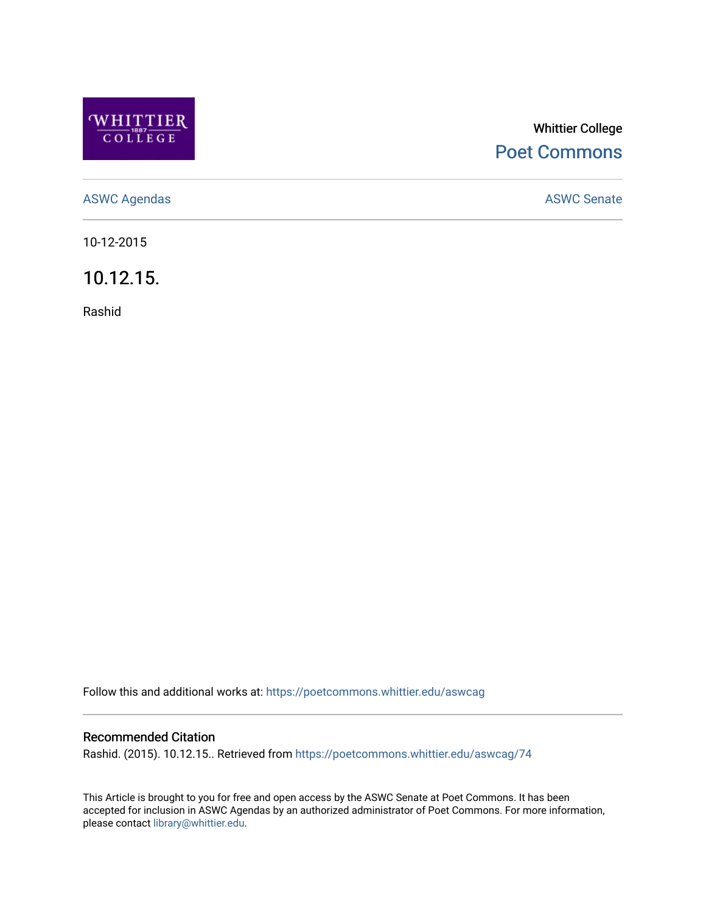

## Whittier College [Poet Commons](https://poetcommons.whittier.edu/)

[ASWC Agendas](https://poetcommons.whittier.edu/aswcag) **ASWC Senate** 

10-12-2015

10.12.15.

Rashid

Follow this and additional works at: [https://poetcommons.whittier.edu/aswcag](https://poetcommons.whittier.edu/aswcag?utm_source=poetcommons.whittier.edu%2Faswcag%2F74&utm_medium=PDF&utm_campaign=PDFCoverPages) 

## Recommended Citation

Rashid. (2015). 10.12.15.. Retrieved from [https://poetcommons.whittier.edu/aswcag/74](https://poetcommons.whittier.edu/aswcag/74?utm_source=poetcommons.whittier.edu%2Faswcag%2F74&utm_medium=PDF&utm_campaign=PDFCoverPages)

This Article is brought to you for free and open access by the ASWC Senate at Poet Commons. It has been accepted for inclusion in ASWC Agendas by an authorized administrator of Poet Commons. For more information, please contact [library@whittier.edu](mailto:library@whittier.edu).